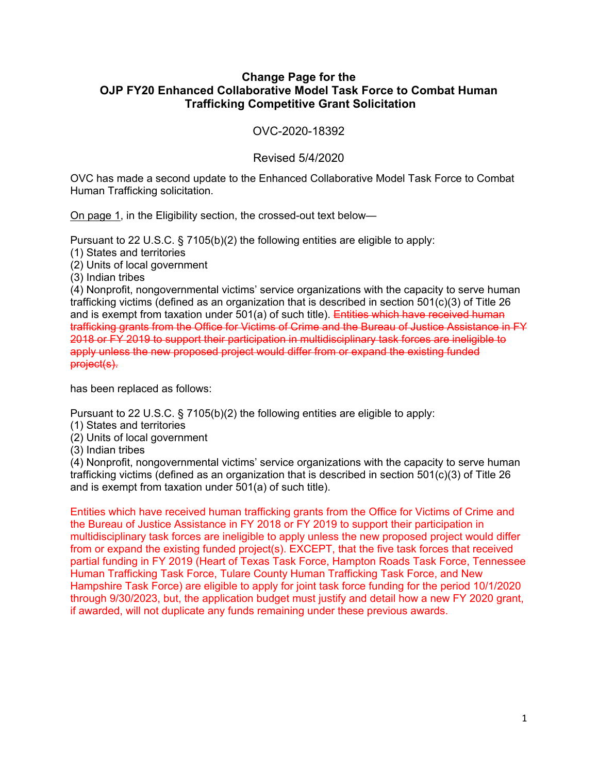## **Change Page for the OJP FY20 Enhanced Collaborative Model Task Force to Combat Human Trafficking Competitive Grant Solicitation**

OVC-2020-18392

## Revised 5/4/2020

OVC has made a second update to the Enhanced Collaborative Model Task Force to Combat Human Trafficking solicitation.

On page 1, in the Eligibility section, the crossed-out text below—

Pursuant to 22 U.S.C. § 7105(b)(2) the following entities are eligible to apply:

(1) States and territories

(2) Units of local government

(3) Indian tribes

(4) Nonprofit, nongovernmental victims' service organizations with the capacity to serve human trafficking victims (defined as an organization that is described in section 501(c)(3) of Title 26 and is exempt from taxation under  $501(a)$  of such title). Entities which have received human trafficking grants from the Office for Victims of Crime and the Bureau of Justice Assistance in FY 2018 or FY 2019 to support their participation in multidisciplinary task forces are ineligible to apply unless the new proposed project would differ from or expand the existing funded project(s).

has been replaced as follows:

Pursuant to 22 U.S.C. § 7105(b)(2) the following entities are eligible to apply:

- (1) States and territories
- (2) Units of local government
- (3) Indian tribes

(4) Nonprofit, nongovernmental victims' service organizations with the capacity to serve human trafficking victims (defined as an organization that is described in section 501(c)(3) of Title 26 and is exempt from taxation under 501(a) of such title).

Entities which have received human trafficking grants from the Office for Victims of Crime and the Bureau of Justice Assistance in FY 2018 or FY 2019 to support their participation in multidisciplinary task forces are ineligible to apply unless the new proposed project would differ from or expand the existing funded project(s). EXCEPT, that the five task forces that received partial funding in FY 2019 (Heart of Texas Task Force, Hampton Roads Task Force, Tennessee Human Trafficking Task Force, Tulare County Human Trafficking Task Force, and New Hampshire Task Force) are eligible to apply for joint task force funding for the period 10/1/2020 through 9/30/2023, but, the application budget must justify and detail how a new FY 2020 grant, if awarded, will not duplicate any funds remaining under these previous awards.